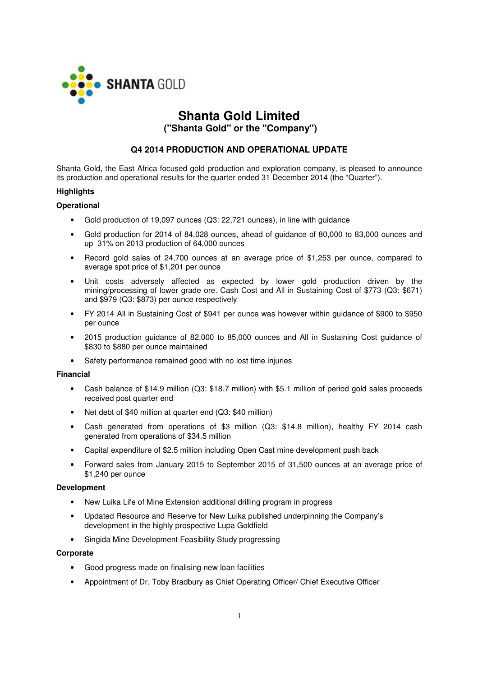

# **Shanta Gold Limited**

 **("Shanta Gold" or the "Company")** 

## **Q4 2014 PRODUCTION AND OPERATIONAL UPDATE**

Shanta Gold, the East Africa focused gold production and exploration company, is pleased to announce its production and operational results for the quarter ended 31 December 2014 (the "Quarter").

## **Highlights**

## **Operational**

- Gold production of 19,097 ounces (Q3: 22,721 ounces), in line with guidance
- Gold production for 2014 of 84,028 ounces, ahead of guidance of 80,000 to 83,000 ounces and up 31% on 2013 production of 64,000 ounces
- Record gold sales of 24,700 ounces at an average price of \$1,253 per ounce, compared to average spot price of \$1,201 per ounce
- Unit costs adversely affected as expected by lower gold production driven by the mining/processing of lower grade ore. Cash Cost and All in Sustaining Cost of \$773 (Q3: \$671) and \$979 (Q3: \$873) per ounce respectively
- FY 2014 All in Sustaining Cost of \$941 per ounce was however within guidance of \$900 to \$950 per ounce
- 2015 production guidance of 82,000 to 85,000 ounces and All in Sustaining Cost guidance of \$830 to \$880 per ounce maintained
- Safety performance remained good with no lost time injuries

## **Financial**

- Cash balance of \$14.9 million (Q3: \$18.7 million) with \$5.1 million of period gold sales proceeds received post quarter end
- Net debt of \$40 million at quarter end (Q3: \$40 million)
- Cash generated from operations of \$3 million (Q3: \$14.8 million), healthy FY 2014 cash generated from operations of \$34.5 million
- Capital expenditure of \$2.5 million including Open Cast mine development push back
- Forward sales from January 2015 to September 2015 of 31,500 ounces at an average price of \$1,240 per ounce

## **Development**

- New Luika Life of Mine Extension additional drilling program in progress
- Updated Resource and Reserve for New Luika published underpinning the Company's development in the highly prospective Lupa Goldfield
- Singida Mine Development Feasibility Study progressing

## **Corporate**

- Good progress made on finalising new loan facilities
- Appointment of Dr. Toby Bradbury as Chief Operating Officer/ Chief Executive Officer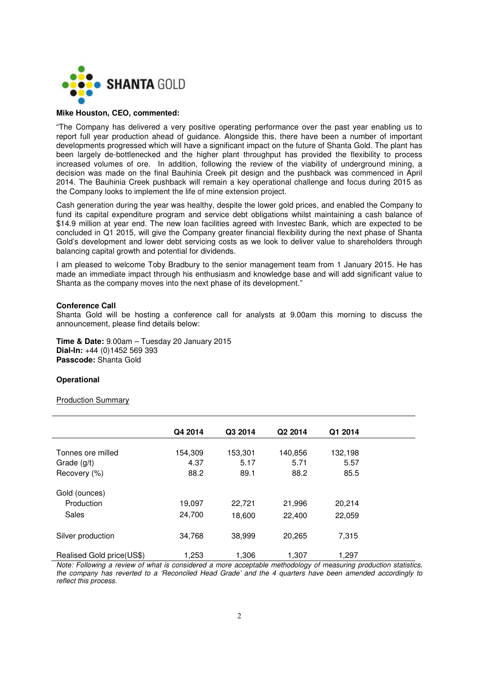

## **Mike Houston, CEO, commented:**

"The Company has delivered a very positive operating performance over the past year enabling us to report full year production ahead of guidance. Alongside this, there have been a number of important developments progressed which will have a significant impact on the future of Shanta Gold. The plant has been largely de-bottlenecked and the higher plant throughput has provided the flexibility to process increased volumes of ore. In addition, following the review of the viability of underground mining, a decision was made on the final Bauhinia Creek pit design and the pushback was commenced in April 2014. The Bauhinia Creek pushback will remain a key operational challenge and focus during 2015 as the Company looks to implement the life of mine extension project.

Cash generation during the year was healthy, despite the lower gold prices, and enabled the Company to fund its capital expenditure program and service debt obligations whilst maintaining a cash balance of \$14.9 million at year end. The new loan facilities agreed with Investec Bank, which are expected to be concluded in Q1 2015, will give the Company greater financial flexibility during the next phase of Shanta Gold's development and lower debt servicing costs as we look to deliver value to shareholders through balancing capital growth and potential for dividends.

I am pleased to welcome Toby Bradbury to the senior management team from 1 January 2015. He has made an immediate impact through his enthusiasm and knowledge base and will add significant value to Shanta as the company moves into the next phase of its development."

#### **Conference Call**

Shanta Gold will be hosting a conference call for analysts at 9.00am this morning to discuss the announcement, please find details below:

**Time & Date:** 9.00am – Tuesday 20 January 2015 **Dial-In:** +44 (0)1452 569 393 **Passcode:** Shanta Gold

#### **Operational**

#### Production Summary

|                           | Q4 2014 | Q3 2014 | Q2 2014 | Q1 2014 |
|---------------------------|---------|---------|---------|---------|
|                           |         |         |         |         |
| Tonnes ore milled         | 154,309 | 153,301 | 140,856 | 132,198 |
| Grade (g/t)               | 4.37    | 5.17    | 5.71    | 5.57    |
| Recovery (%)              | 88.2    | 89.1    | 88.2    | 85.5    |
| Gold (ounces)             |         |         |         |         |
| Production                | 19,097  | 22,721  | 21,996  | 20,214  |
| Sales                     | 24,700  | 18,600  | 22,400  | 22,059  |
| Silver production         | 34,768  | 38,999  | 20,265  | 7,315   |
| Realised Gold price(US\$) | 1,253   | 1,306   | 1.307   | 1,297   |

*Note: Following a review of what is considered a more acceptable methodology of measuring production statistics, the company has reverted to a 'Reconciled Head Grade' and the 4 quarters have been amended accordingly to reflect this process.*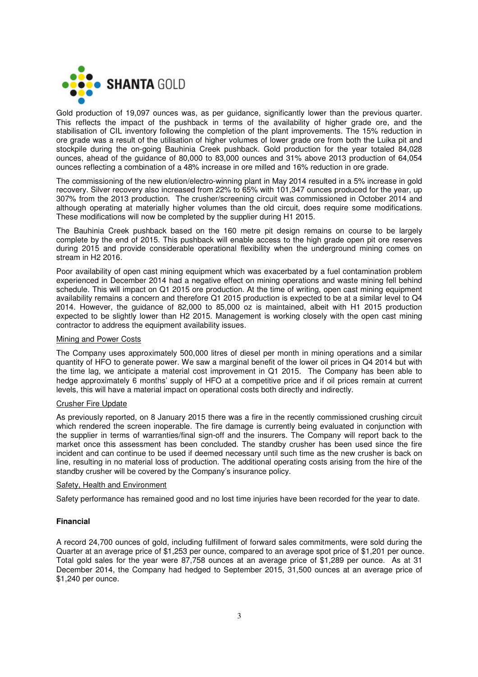

Gold production of 19,097 ounces was, as per guidance, significantly lower than the previous quarter. This reflects the impact of the pushback in terms of the availability of higher grade ore, and the stabilisation of CIL inventory following the completion of the plant improvements. The 15% reduction in ore grade was a result of the utilisation of higher volumes of lower grade ore from both the Luika pit and stockpile during the on-going Bauhinia Creek pushback. Gold production for the year totaled 84,028 ounces, ahead of the guidance of 80,000 to 83,000 ounces and 31% above 2013 production of 64,054 ounces reflecting a combination of a 48% increase in ore milled and 16% reduction in ore grade.

The commissioning of the new elution/electro-winning plant in May 2014 resulted in a 5% increase in gold recovery. Silver recovery also increased from 22% to 65% with 101,347 ounces produced for the year, up 307% from the 2013 production. The crusher/screening circuit was commissioned in October 2014 and although operating at materially higher volumes than the old circuit, does require some modifications. These modifications will now be completed by the supplier during H1 2015.

The Bauhinia Creek pushback based on the 160 metre pit design remains on course to be largely complete by the end of 2015. This pushback will enable access to the high grade open pit ore reserves during 2015 and provide considerable operational flexibility when the underground mining comes on stream in H2 2016.

Poor availability of open cast mining equipment which was exacerbated by a fuel contamination problem experienced in December 2014 had a negative effect on mining operations and waste mining fell behind schedule. This will impact on Q1 2015 ore production. At the time of writing, open cast mining equipment availability remains a concern and therefore Q1 2015 production is expected to be at a similar level to Q4 2014. However, the guidance of 82,000 to 85,000 oz is maintained, albeit with H1 2015 production expected to be slightly lower than H2 2015. Management is working closely with the open cast mining contractor to address the equipment availability issues.

## Mining and Power Costs

The Company uses approximately 500,000 litres of diesel per month in mining operations and a similar quantity of HFO to generate power. We saw a marginal benefit of the lower oil prices in Q4 2014 but with the time lag, we anticipate a material cost improvement in Q1 2015. The Company has been able to hedge approximately 6 months' supply of HFO at a competitive price and if oil prices remain at current levels, this will have a material impact on operational costs both directly and indirectly.

## Crusher Fire Update

As previously reported, on 8 January 2015 there was a fire in the recently commissioned crushing circuit which rendered the screen inoperable. The fire damage is currently being evaluated in conjunction with the supplier in terms of warranties/final sign-off and the insurers. The Company will report back to the market once this assessment has been concluded. The standby crusher has been used since the fire incident and can continue to be used if deemed necessary until such time as the new crusher is back on line, resulting in no material loss of production. The additional operating costs arising from the hire of the standby crusher will be covered by the Company's insurance policy.

#### Safety, Health and Environment

Safety performance has remained good and no lost time injuries have been recorded for the year to date.

## **Financial**

A record 24,700 ounces of gold, including fulfillment of forward sales commitments, were sold during the Quarter at an average price of \$1,253 per ounce, compared to an average spot price of \$1,201 per ounce. Total gold sales for the year were 87,758 ounces at an average price of \$1,289 per ounce. As at 31 December 2014, the Company had hedged to September 2015, 31,500 ounces at an average price of \$1,240 per ounce.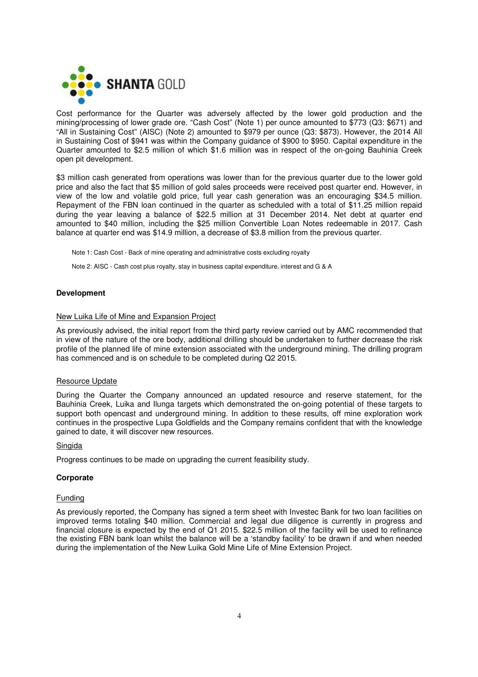

Cost performance for the Quarter was adversely affected by the lower gold production and the mining/processing of lower grade ore. "Cash Cost" (Note 1) per ounce amounted to \$773 (Q3: \$671) and "All in Sustaining Cost" (AISC) (Note 2) amounted to \$979 per ounce (Q3: \$873). However, the 2014 All in Sustaining Cost of \$941 was within the Company guidance of \$900 to \$950. Capital expenditure in the Quarter amounted to \$2.5 million of which \$1.6 million was in respect of the on-going Bauhinia Creek open pit development.

\$3 million cash generated from operations was lower than for the previous quarter due to the lower gold price and also the fact that \$5 million of gold sales proceeds were received post quarter end. However, in view of the low and volatile gold price, full year cash generation was an encouraging \$34.5 million. Repayment of the FBN loan continued in the quarter as scheduled with a total of \$11.25 million repaid during the year leaving a balance of \$22.5 million at 31 December 2014. Net debt at quarter end amounted to \$40 million, including the \$25 million Convertible Loan Notes redeemable in 2017. Cash balance at quarter end was \$14.9 million, a decrease of \$3.8 million from the previous quarter.

Note 1: Cash Cost - Back of mine operating and administrative costs excluding royalty

Note 2: AISC - Cash cost plus royalty, stay in business capital expenditure, interest and G & A

## **Development**

#### New Luika Life of Mine and Expansion Project

As previously advised, the initial report from the third party review carried out by AMC recommended that in view of the nature of the ore body, additional drilling should be undertaken to further decrease the risk profile of the planned life of mine extension associated with the underground mining. The drilling program has commenced and is on schedule to be completed during Q2 2015.

#### Resource Update

During the Quarter the Company announced an updated resource and reserve statement, for the Bauhinia Creek, Luika and Ilunga targets which demonstrated the on-going potential of these targets to support both opencast and underground mining. In addition to these results, off mine exploration work continues in the prospective Lupa Goldfields and the Company remains confident that with the knowledge gained to date, it will discover new resources.

#### **Singida**

Progress continues to be made on upgrading the current feasibility study.

#### **Corporate**

#### Funding

As previously reported, the Company has signed a term sheet with Investec Bank for two loan facilities on improved terms totaling \$40 million. Commercial and legal due diligence is currently in progress and financial closure is expected by the end of Q1 2015. \$22.5 million of the facility will be used to refinance the existing FBN bank loan whilst the balance will be a 'standby facility' to be drawn if and when needed during the implementation of the New Luika Gold Mine Life of Mine Extension Project.